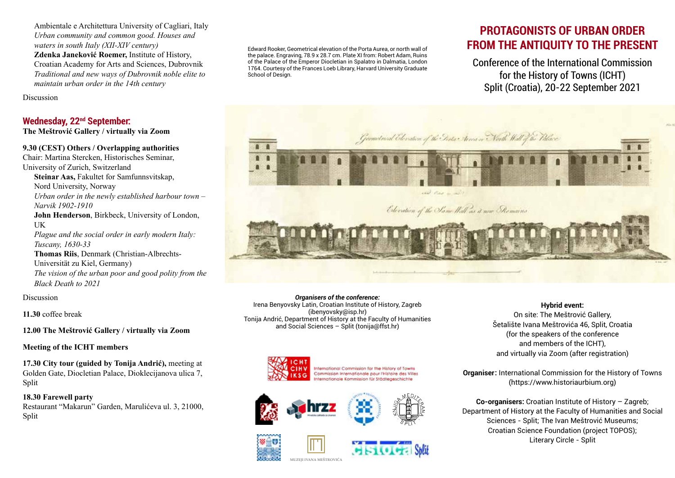Ambientale e Architettura University of Cagliari, Italy *Urban community and common good. Houses and waters in south Italy (XII-XIV century)* **Zdenka Janeković Roemer,** Institute of History, Croatian Academy for Arts and Sciences, Dubrovnik *Traditional and new ways of Dubrovnik noble elite to maintain urban order in the 14th century*

Discussion

## **Wednesday, 22nd September:**

**The Meštrović Gallery / virtually via Zoom**

#### **9.30 (CEST) Others / Overlapping authorities**

Chair: Martina Stercken, Historisches Seminar, University of Zurich, Switzerland **Steinar Aas,** Fakultet for Samfunnsvitskap, Nord University, Norway *Urban order in the newly established harbour town – Narvik 1902-1910* **John Henderson**, Birkbeck, University of London, UK *Plague and the social order in early modern Italy: Tuscany, 1630-33* **Thomas Riis**, Denmark (Christian-Albrechts-Universität zu Kiel, Germany) *The vision of the urban poor and good polity from the Black Death to 2021*

Discussion

**11.30** coffee break

**12.00 The Meštrović Gallery / virtually via Zoom**

#### **Meeting of the ICHT members**

**17.30 City tour (guided by Tonija Andrić),** meeting at Golden Gate, Diocletian Palace, Dioklecijanova ulica 7, Split

**18.30 Farewell party**  Restaurant "Makarun" Garden, Marulićeva ul. 3, 21000, Split

Edward Rooker, Geometrical elevation of the Porta Aurea, or north wall of the palace. Engraving, 78.9 x 28.7 cm. Plate XI from: Robert Adam, Ruins of the Palace of the Emperor Diocletian in Spalatro in Dalmatia, London 1764. Courtesy of the Frances Loeb Library, Harvard University Graduate School of Design

# **PROTAGONISTS OF URBAN ORDER FROM THE ANTIQUITY TO THE PRESENT**

Conference of the International Commission for the History of Towns (ICHT) Split (Croatia), 20-22 September 2021



*Organisers of the conference:* Irena Benyovsky Latin, Croatian Institute of History, Zagreb (ibenyovsky@isp.hr) Tonija Andrić, Department of History at the Faculty of Humanities and Social Sciences – Split (tonija@ffst.hr)



International Commission for the History of Towns Commission Internationale pour l'Histoire des Villes ernationale Kommission für Städtegeschichte



**MUZEJI IVANA MEŠTROVIĆA**





**Hybrid event:** On site: The Meštrović Gallery, Šetalište Ivana Meštrovića 46, Split, Croatia (for the speakers of the conference and members of the ICHT), and virtually via Zoom (after registration)

**Organiser:** International Commission for the History of Towns (https://www.historiaurbium.org)

**Co-organisers:** Croatian Institute of History – Zagreb; Department of History at the Faculty of Humanities and Social Sciences - Split; The Ivan Meštrović Museums; Croatian Science Foundation (project TOPOS); Literary Circle - Split